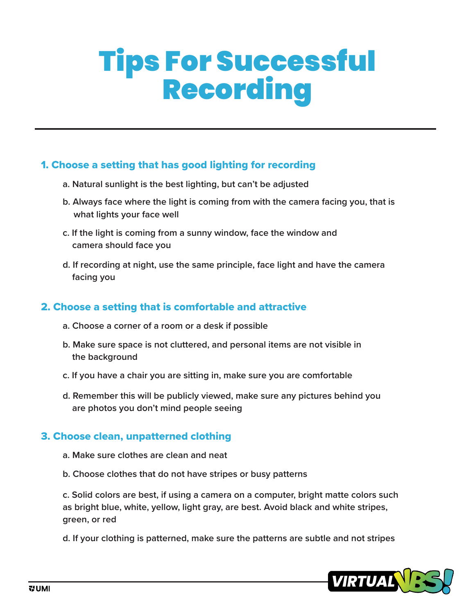# Tips For Successful Recording

## 1. Choose a setting that has good lighting for recording

- **a. Natural sunlight is the best lighting, but can't be adjusted**
- **b. Always face where the light is coming from with the camera facing you, that is what lights your face well**
- **c. If the light is coming from a sunny window, face the window and camera should face you**
- **d. If recording at night, use the same principle, face light and have the camera facing you**

#### 2. Choose a setting that is comfortable and attractive

- **a. Choose a corner of a room or a desk if possible**
- **b. Make sure space is not cluttered, and personal items are not visible in the background**
- **c. If you have a chair you are sitting in, make sure you are comfortable**
- **d. Remember this will be publicly viewed, make sure any pictures behind you are photos you don't mind people seeing**

#### 3. Choose clean, unpatterned clothing

- **a. Make sure clothes are clean and neat**
- **b. Choose clothes that do not have stripes or busy patterns**

**c. Solid colors are best, if using a camera on a computer, bright matte colors such as bright blue, white, yellow, light gray, are best. Avoid black and white stripes, green, or red**

**d. If your clothing is patterned, make sure the patterns are subtle and not stripes**